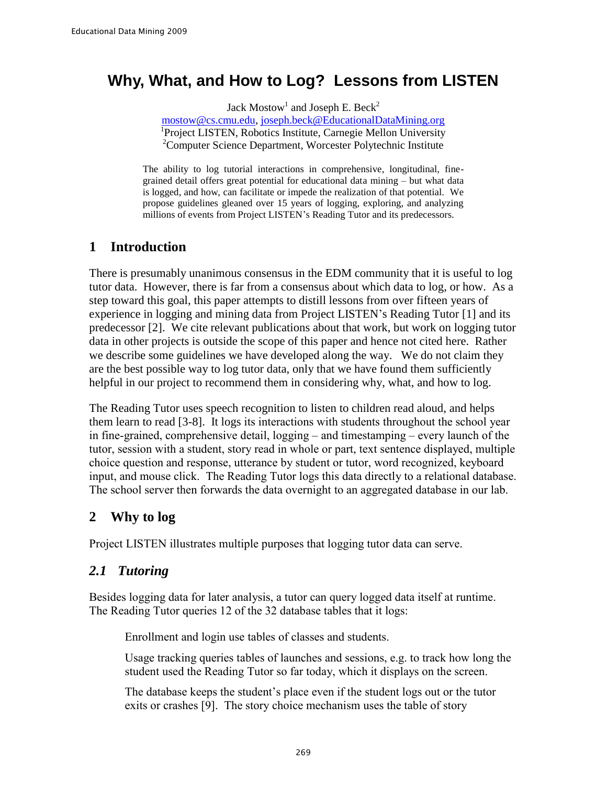# **Why, What, and How to Log? Lessons from LISTEN**

Jack Mostow<sup>1</sup> and Joseph E. Beck<sup>2</sup>

[mostow@cs.cmu.edu,](mailto:mostow@cs.cmu.edu) joseph.beck@EducationalDataMining.org 1 Project LISTEN, Robotics Institute, Carnegie Mellon University <sup>2</sup>Computer Science Department, Worcester Polytechnic Institute

The ability to log tutorial interactions in comprehensive, longitudinal, finegrained detail offers great potential for educational data mining – but what data is logged, and how, can facilitate or impede the realization of that potential. We propose guidelines gleaned over 15 years of logging, exploring, and analyzing millions of events from Project LISTEN's Reading Tutor and its predecessors.

# **1 Introduction**

There is presumably unanimous consensus in the EDM community that it is useful to log tutor data. However, there is far from a consensus about which data to log, or how. As a step toward this goal, this paper attempts to distill lessons from over fifteen years of experience in logging and mining data from Project LISTEN's Reading Tutor [1] and its predecessor [2]. We cite relevant publications about that work, but work on logging tutor data in other projects is outside the scope of this paper and hence not cited here. Rather we describe some guidelines we have developed along the way. We do not claim they are the best possible way to log tutor data, only that we have found them sufficiently helpful in our project to recommend them in considering why, what, and how to log.

The Reading Tutor uses speech recognition to listen to children read aloud, and helps them learn to read [3-8]. It logs its interactions with students throughout the school year in fine-grained, comprehensive detail, logging – and timestamping – every launch of the tutor, session with a student, story read in whole or part, text sentence displayed, multiple choice question and response, utterance by student or tutor, word recognized, keyboard input, and mouse click. The Reading Tutor logs this data directly to a relational database. The school server then forwards the data overnight to an aggregated database in our lab.

# **2 Why to log**

Project LISTEN illustrates multiple purposes that logging tutor data can serve.

# *2.1 Tutoring*

Besides logging data for later analysis, a tutor can query logged data itself at runtime. The Reading Tutor queries 12 of the 32 database tables that it logs:

- Enrollment and login use tables of classes and students.
- Usage tracking queries tables of launches and sessions, e.g. to track how long the student used the Reading Tutor so far today, which it displays on the screen.
- The database keeps the student's place even if the student logs out or the tutor exits or crashes [9]. The story choice mechanism uses the table of story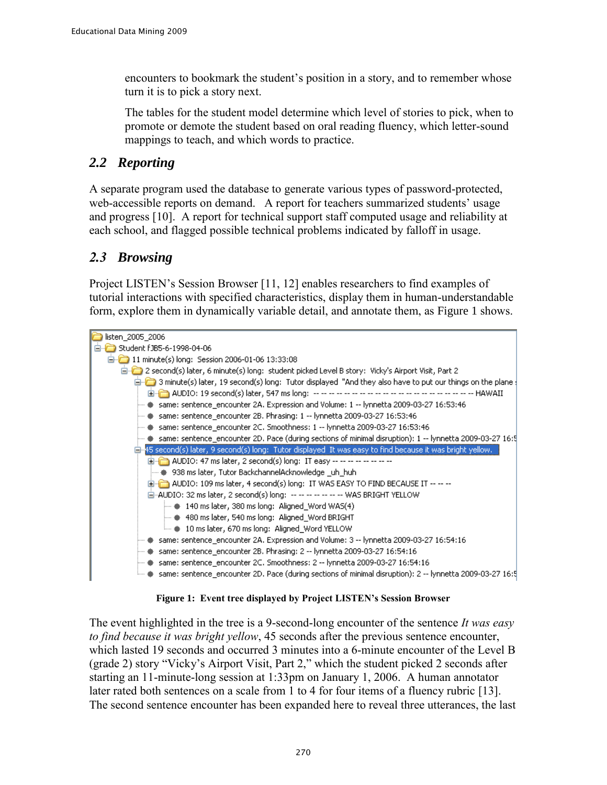encounters to bookmark the student's position in a story, and to remember whose turn it is to pick a story next.

• The tables for the student model determine which level of stories to pick, when to promote or demote the student based on oral reading fluency, which letter-sound mappings to teach, and which words to practice.

### *2.2 Reporting*

A separate program used the database to generate various types of password-protected, web-accessible reports on demand. A report for teachers summarized students' usage and progress [10]. A report for technical support staff computed usage and reliability at each school, and flagged possible technical problems indicated by falloff in usage.

# *2.3 Browsing*

Project LISTEN's Session Browser [11, 12] enables researchers to find examples of tutorial interactions with specified characteristics, display them in human-understandable form, explore them in dynamically variable detail, and annotate them, as Figure 1 shows.



**Figure 1: Event tree displayed by Project LISTEN's Session Browser**

The event highlighted in the tree is a 9-second-long encounter of the sentence *It was easy to find because it was bright yellow*, 45 seconds after the previous sentence encounter, which lasted 19 seconds and occurred 3 minutes into a 6-minute encounter of the Level B (grade 2) story "Vicky's Airport Visit, Part 2," which the student picked 2 seconds after starting an 11-minute-long session at 1:33pm on January 1, 2006. A human annotator later rated both sentences on a scale from 1 to 4 for four items of a fluency rubric [13]. The second sentence encounter has been expanded here to reveal three utterances, the last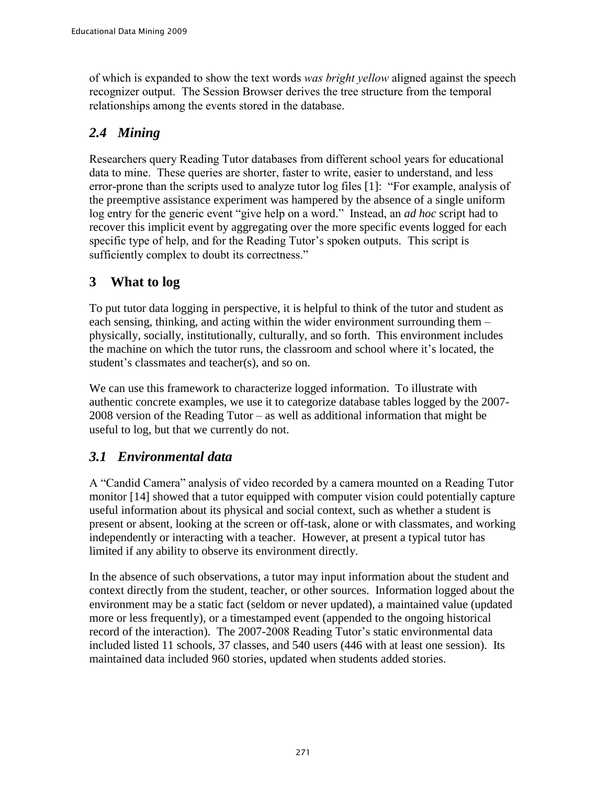of which is expanded to show the text words *was bright yellow* aligned against the speech recognizer output. The Session Browser derives the tree structure from the temporal relationships among the events stored in the database.

# *2.4 Mining*

Researchers query Reading Tutor databases from different school years for educational data to mine. These queries are shorter, faster to write, easier to understand, and less error-prone than the scripts used to analyze tutor log files [1]: "For example, analysis of the preemptive assistance experiment was hampered by the absence of a single uniform log entry for the generic event "give help on a word." Instead, an *ad hoc* script had to recover this implicit event by aggregating over the more specific events logged for each specific type of help, and for the Reading Tutor's spoken outputs. This script is sufficiently complex to doubt its correctness."

# **3 What to log**

To put tutor data logging in perspective, it is helpful to think of the tutor and student as each sensing, thinking, and acting within the wider environment surrounding them – physically, socially, institutionally, culturally, and so forth. This environment includes the machine on which the tutor runs, the classroom and school where it's located, the student's classmates and teacher(s), and so on.

We can use this framework to characterize logged information. To illustrate with authentic concrete examples, we use it to categorize database tables logged by the 2007- 2008 version of the Reading Tutor – as well as additional information that might be useful to log, but that we currently do not.

# *3.1 Environmental data*

A "Candid Camera" analysis of video recorded by a camera mounted on a Reading Tutor monitor [14] showed that a tutor equipped with computer vision could potentially capture useful information about its physical and social context, such as whether a student is present or absent, looking at the screen or off-task, alone or with classmates, and working independently or interacting with a teacher. However, at present a typical tutor has limited if any ability to observe its environment directly.

In the absence of such observations, a tutor may input information about the student and context directly from the student, teacher, or other sources. Information logged about the environment may be a static fact (seldom or never updated), a maintained value (updated more or less frequently), or a timestamped event (appended to the ongoing historical record of the interaction). The 2007-2008 Reading Tutor's static environmental data included listed 11 schools, 37 classes, and 540 users (446 with at least one session). Its maintained data included 960 stories, updated when students added stories.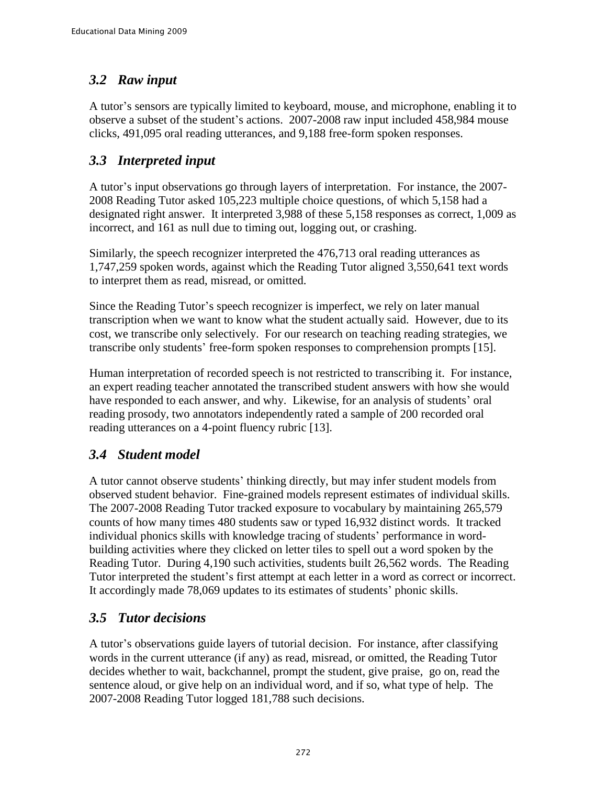# *3.2 Raw input*

A tutor's sensors are typically limited to keyboard, mouse, and microphone, enabling it to observe a subset of the student's actions. 2007-2008 raw input included 458,984 mouse clicks, 491,095 oral reading utterances, and 9,188 free-form spoken responses.

# *3.3 Interpreted input*

A tutor's input observations go through layers of interpretation. For instance, the 2007- 2008 Reading Tutor asked 105,223 multiple choice questions, of which 5,158 had a designated right answer. It interpreted 3,988 of these 5,158 responses as correct, 1,009 as incorrect, and 161 as null due to timing out, logging out, or crashing.

Similarly, the speech recognizer interpreted the 476,713 oral reading utterances as 1,747,259 spoken words, against which the Reading Tutor aligned 3,550,641 text words to interpret them as read, misread, or omitted.

Since the Reading Tutor's speech recognizer is imperfect, we rely on later manual transcription when we want to know what the student actually said. However, due to its cost, we transcribe only selectively. For our research on teaching reading strategies, we transcribe only students' free-form spoken responses to comprehension prompts [15].

Human interpretation of recorded speech is not restricted to transcribing it. For instance, an expert reading teacher annotated the transcribed student answers with how she would have responded to each answer, and why. Likewise, for an analysis of students' oral reading prosody, two annotators independently rated a sample of 200 recorded oral reading utterances on a 4-point fluency rubric [13].

# *3.4 Student model*

A tutor cannot observe students' thinking directly, but may infer student models from observed student behavior. Fine-grained models represent estimates of individual skills. The 2007-2008 Reading Tutor tracked exposure to vocabulary by maintaining 265,579 counts of how many times 480 students saw or typed 16,932 distinct words. It tracked individual phonics skills with knowledge tracing of students' performance in wordbuilding activities where they clicked on letter tiles to spell out a word spoken by the Reading Tutor. During 4,190 such activities, students built 26,562 words. The Reading Tutor interpreted the student's first attempt at each letter in a word as correct or incorrect. It accordingly made 78,069 updates to its estimates of students' phonic skills.

# *3.5 Tutor decisions*

A tutor's observations guide layers of tutorial decision. For instance, after classifying words in the current utterance (if any) as read, misread, or omitted, the Reading Tutor decides whether to wait, backchannel, prompt the student, give praise, go on, read the sentence aloud, or give help on an individual word, and if so, what type of help. The 2007-2008 Reading Tutor logged 181,788 such decisions.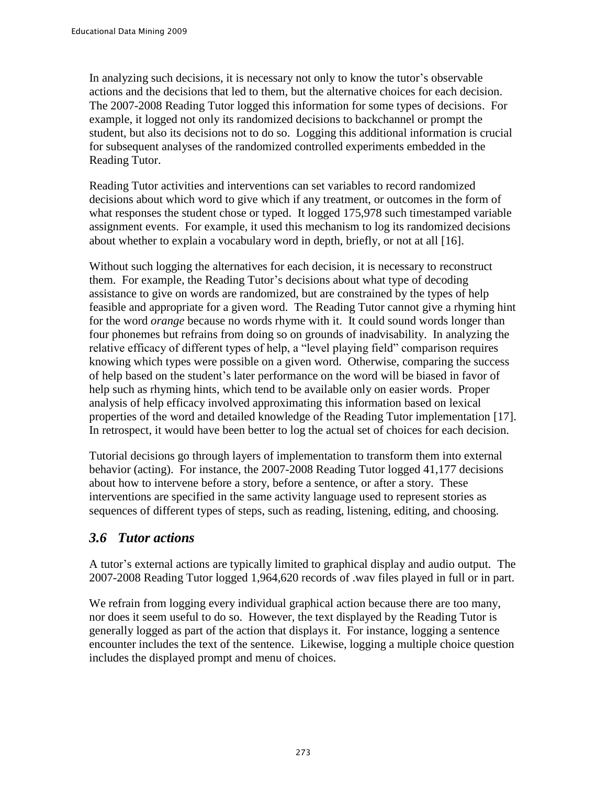In analyzing such decisions, it is necessary not only to know the tutor's observable actions and the decisions that led to them, but the alternative choices for each decision. The 2007-2008 Reading Tutor logged this information for some types of decisions. For example, it logged not only its randomized decisions to backchannel or prompt the student, but also its decisions not to do so. Logging this additional information is crucial for subsequent analyses of the randomized controlled experiments embedded in the Reading Tutor.

Reading Tutor activities and interventions can set variables to record randomized decisions about which word to give which if any treatment, or outcomes in the form of what responses the student chose or typed. It logged 175,978 such timestamped variable assignment events. For example, it used this mechanism to log its randomized decisions about whether to explain a vocabulary word in depth, briefly, or not at all [16].

Without such logging the alternatives for each decision, it is necessary to reconstruct them. For example, the Reading Tutor's decisions about what type of decoding assistance to give on words are randomized, but are constrained by the types of help feasible and appropriate for a given word. The Reading Tutor cannot give a rhyming hint for the word *orange* because no words rhyme with it. It could sound words longer than four phonemes but refrains from doing so on grounds of inadvisability. In analyzing the relative efficacy of different types of help, a "level playing field" comparison requires knowing which types were possible on a given word. Otherwise, comparing the success of help based on the student's later performance on the word will be biased in favor of help such as rhyming hints, which tend to be available only on easier words. Proper analysis of help efficacy involved approximating this information based on lexical properties of the word and detailed knowledge of the Reading Tutor implementation [17]. In retrospect, it would have been better to log the actual set of choices for each decision.

Tutorial decisions go through layers of implementation to transform them into external behavior (acting). For instance, the 2007-2008 Reading Tutor logged 41,177 decisions about how to intervene before a story, before a sentence, or after a story. These interventions are specified in the same activity language used to represent stories as sequences of different types of steps, such as reading, listening, editing, and choosing.

#### *3.6 Tutor actions*

A tutor's external actions are typically limited to graphical display and audio output. The 2007-2008 Reading Tutor logged 1,964,620 records of .wav files played in full or in part.

We refrain from logging every individual graphical action because there are too many, nor does it seem useful to do so. However, the text displayed by the Reading Tutor is generally logged as part of the action that displays it. For instance, logging a sentence encounter includes the text of the sentence. Likewise, logging a multiple choice question includes the displayed prompt and menu of choices.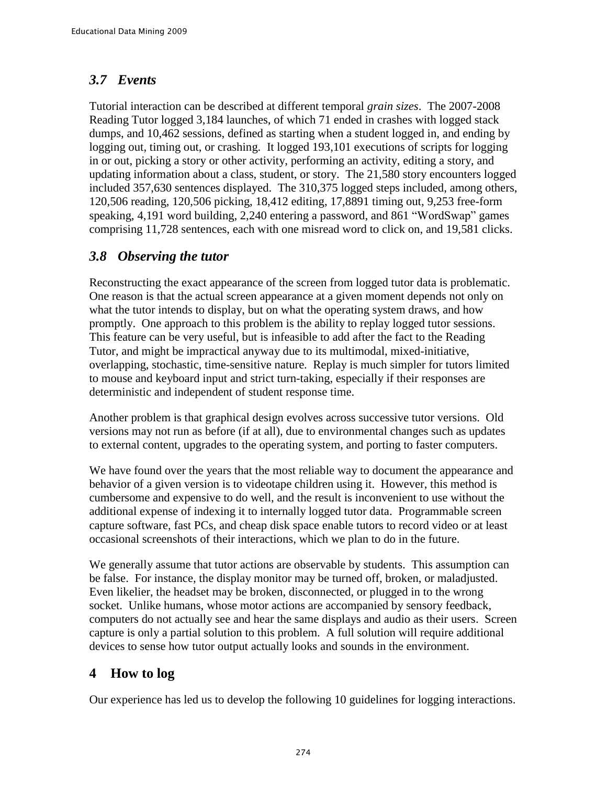#### *3.7 Events*

Tutorial interaction can be described at different temporal *grain sizes*. The 2007-2008 Reading Tutor logged 3,184 launches, of which 71 ended in crashes with logged stack dumps, and 10,462 sessions, defined as starting when a student logged in, and ending by logging out, timing out, or crashing. It logged 193,101 executions of scripts for logging in or out, picking a story or other activity, performing an activity, editing a story, and updating information about a class, student, or story. The 21,580 story encounters logged included 357,630 sentences displayed. The 310,375 logged steps included, among others, 120,506 reading, 120,506 picking, 18,412 editing, 17,8891 timing out, 9,253 free-form speaking, 4,191 word building, 2,240 entering a password, and 861 "WordSwap" games comprising 11,728 sentences, each with one misread word to click on, and 19,581 clicks.

### *3.8 Observing the tutor*

Reconstructing the exact appearance of the screen from logged tutor data is problematic. One reason is that the actual screen appearance at a given moment depends not only on what the tutor intends to display, but on what the operating system draws, and how promptly. One approach to this problem is the ability to replay logged tutor sessions. This feature can be very useful, but is infeasible to add after the fact to the Reading Tutor, and might be impractical anyway due to its multimodal, mixed-initiative, overlapping, stochastic, time-sensitive nature. Replay is much simpler for tutors limited to mouse and keyboard input and strict turn-taking, especially if their responses are deterministic and independent of student response time.

Another problem is that graphical design evolves across successive tutor versions. Old versions may not run as before (if at all), due to environmental changes such as updates to external content, upgrades to the operating system, and porting to faster computers.

We have found over the years that the most reliable way to document the appearance and behavior of a given version is to videotape children using it. However, this method is cumbersome and expensive to do well, and the result is inconvenient to use without the additional expense of indexing it to internally logged tutor data. Programmable screen capture software, fast PCs, and cheap disk space enable tutors to record video or at least occasional screenshots of their interactions, which we plan to do in the future.

We generally assume that tutor actions are observable by students. This assumption can be false. For instance, the display monitor may be turned off, broken, or maladjusted. Even likelier, the headset may be broken, disconnected, or plugged in to the wrong socket. Unlike humans, whose motor actions are accompanied by sensory feedback, computers do not actually see and hear the same displays and audio as their users. Screen capture is only a partial solution to this problem. A full solution will require additional devices to sense how tutor output actually looks and sounds in the environment.

# **4 How to log**

Our experience has led us to develop the following 10 guidelines for logging interactions.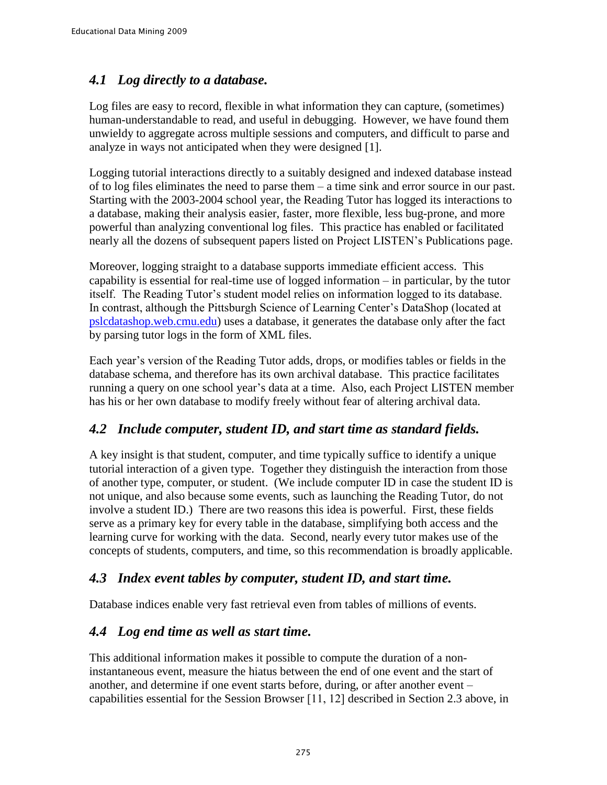### *4.1 Log directly to a database.*

Log files are easy to record, flexible in what information they can capture, (sometimes) human-understandable to read, and useful in debugging. However, we have found them unwieldy to aggregate across multiple sessions and computers, and difficult to parse and analyze in ways not anticipated when they were designed [1].

Logging tutorial interactions directly to a suitably designed and indexed database instead of to log files eliminates the need to parse them – a time sink and error source in our past. Starting with the 2003-2004 school year, the Reading Tutor has logged its interactions to a database, making their analysis easier, faster, more flexible, less bug-prone, and more powerful than analyzing conventional log files. This practice has enabled or facilitated nearly all the dozens of subsequent papers listed on Project LISTEN's Publications page.

Moreover, logging straight to a database supports immediate efficient access. This capability is essential for real-time use of logged information – in particular, by the tutor itself. The Reading Tutor's student model relies on information logged to its database. In contrast, although the Pittsburgh Science of Learning Center's DataShop (located at [pslcdatashop.web.cmu.edu\)](https://pslcdatashop.web.cmu.edu/) uses a database, it generates the database only after the fact by parsing tutor logs in the form of XML files.

Each year's version of the Reading Tutor adds, drops, or modifies tables or fields in the database schema, and therefore has its own archival database. This practice facilitates running a query on one school year's data at a time. Also, each Project LISTEN member has his or her own database to modify freely without fear of altering archival data.

#### *4.2 Include computer, student ID, and start time as standard fields.*

A key insight is that student, computer, and time typically suffice to identify a unique tutorial interaction of a given type. Together they distinguish the interaction from those of another type, computer, or student. (We include computer ID in case the student ID is not unique, and also because some events, such as launching the Reading Tutor, do not involve a student ID.) There are two reasons this idea is powerful. First, these fields serve as a primary key for every table in the database, simplifying both access and the learning curve for working with the data. Second, nearly every tutor makes use of the concepts of students, computers, and time, so this recommendation is broadly applicable.

#### *4.3 Index event tables by computer, student ID, and start time.*

Database indices enable very fast retrieval even from tables of millions of events.

#### *4.4 Log end time as well as start time.*

This additional information makes it possible to compute the duration of a noninstantaneous event, measure the hiatus between the end of one event and the start of another, and determine if one event starts before, during, or after another event – capabilities essential for the Session Browser [11, 12] described in Section 2.3 above, in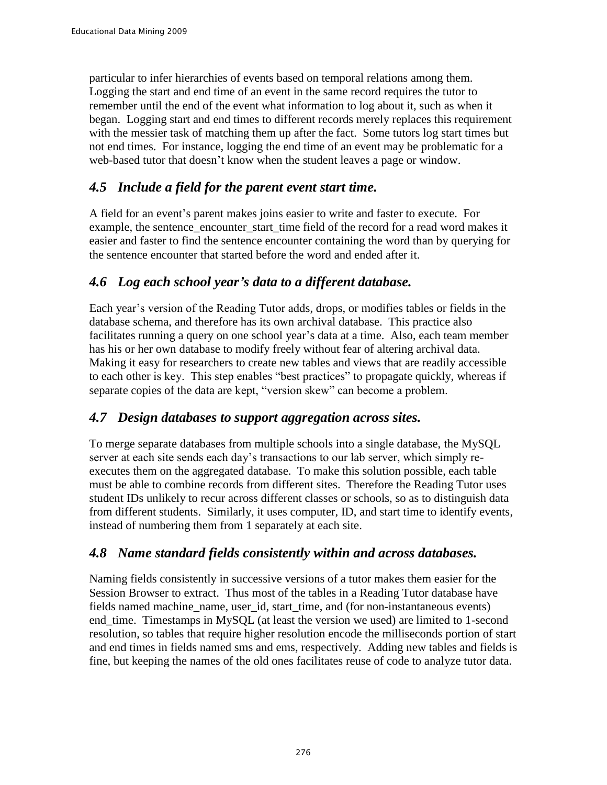particular to infer hierarchies of events based on temporal relations among them. Logging the start and end time of an event in the same record requires the tutor to remember until the end of the event what information to log about it, such as when it began. Logging start and end times to different records merely replaces this requirement with the messier task of matching them up after the fact. Some tutors log start times but not end times. For instance, logging the end time of an event may be problematic for a web-based tutor that doesn't know when the student leaves a page or window.

#### *4.5 Include a field for the parent event start time.*

A field for an event's parent makes joins easier to write and faster to execute. For example, the sentence encounter start time field of the record for a read word makes it easier and faster to find the sentence encounter containing the word than by querying for the sentence encounter that started before the word and ended after it.

### *4.6 Log each school year's data to a different database.*

Each year's version of the Reading Tutor adds, drops, or modifies tables or fields in the database schema, and therefore has its own archival database. This practice also facilitates running a query on one school year's data at a time. Also, each team member has his or her own database to modify freely without fear of altering archival data. Making it easy for researchers to create new tables and views that are readily accessible to each other is key. This step enables "best practices" to propagate quickly, whereas if separate copies of the data are kept, "version skew" can become a problem.

#### *4.7 Design databases to support aggregation across sites.*

To merge separate databases from multiple schools into a single database, the MySQL server at each site sends each day's transactions to our lab server, which simply reexecutes them on the aggregated database. To make this solution possible, each table must be able to combine records from different sites. Therefore the Reading Tutor uses student IDs unlikely to recur across different classes or schools, so as to distinguish data from different students. Similarly, it uses computer, ID, and start time to identify events, instead of numbering them from 1 separately at each site.

#### *4.8 Name standard fields consistently within and across databases.*

Naming fields consistently in successive versions of a tutor makes them easier for the Session Browser to extract. Thus most of the tables in a Reading Tutor database have fields named machine name, user id, start time, and (for non-instantaneous events) end\_time. Timestamps in MySQL (at least the version we used) are limited to 1-second resolution, so tables that require higher resolution encode the milliseconds portion of start and end times in fields named sms and ems, respectively. Adding new tables and fields is fine, but keeping the names of the old ones facilitates reuse of code to analyze tutor data.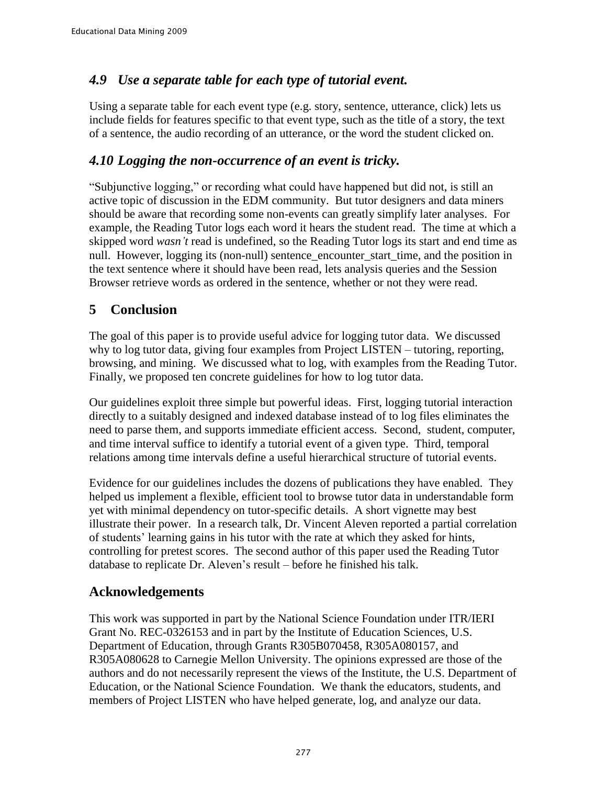#### *4.9 Use a separate table for each type of tutorial event.*

Using a separate table for each event type (e.g. story, sentence, utterance, click) lets us include fields for features specific to that event type, such as the title of a story, the text of a sentence, the audio recording of an utterance, or the word the student clicked on.

#### *4.10 Logging the non-occurrence of an event is tricky.*

"Subjunctive logging," or recording what could have happened but did not, is still an active topic of discussion in the EDM community. But tutor designers and data miners should be aware that recording some non-events can greatly simplify later analyses. For example, the Reading Tutor logs each word it hears the student read. The time at which a skipped word *wasn't* read is undefined, so the Reading Tutor logs its start and end time as null. However, logging its (non-null) sentence\_encounter\_start\_time, and the position in the text sentence where it should have been read, lets analysis queries and the Session Browser retrieve words as ordered in the sentence, whether or not they were read.

#### **5 Conclusion**

The goal of this paper is to provide useful advice for logging tutor data. We discussed why to log tutor data, giving four examples from Project LISTEN – tutoring, reporting, browsing, and mining. We discussed what to log, with examples from the Reading Tutor. Finally, we proposed ten concrete guidelines for how to log tutor data.

Our guidelines exploit three simple but powerful ideas. First, logging tutorial interaction directly to a suitably designed and indexed database instead of to log files eliminates the need to parse them, and supports immediate efficient access. Second, student, computer, and time interval suffice to identify a tutorial event of a given type. Third, temporal relations among time intervals define a useful hierarchical structure of tutorial events.

Evidence for our guidelines includes the dozens of publications they have enabled. They helped us implement a flexible, efficient tool to browse tutor data in understandable form yet with minimal dependency on tutor-specific details. A short vignette may best illustrate their power. In a research talk, Dr. Vincent Aleven reported a partial correlation of students' learning gains in his tutor with the rate at which they asked for hints, controlling for pretest scores. The second author of this paper used the Reading Tutor database to replicate Dr. Aleven's result – before he finished his talk.

#### **Acknowledgements**

This work was supported in part by the National Science Foundation under ITR/IERI Grant No. REC-0326153 and in part by the Institute of Education Sciences, U.S. Department of Education, through Grants R305B070458, R305A080157, and R305A080628 to Carnegie Mellon University. The opinions expressed are those of the authors and do not necessarily represent the views of the Institute, the U.S. Department of Education, or the National Science Foundation. We thank the educators, students, and members of Project LISTEN who have helped generate, log, and analyze our data.